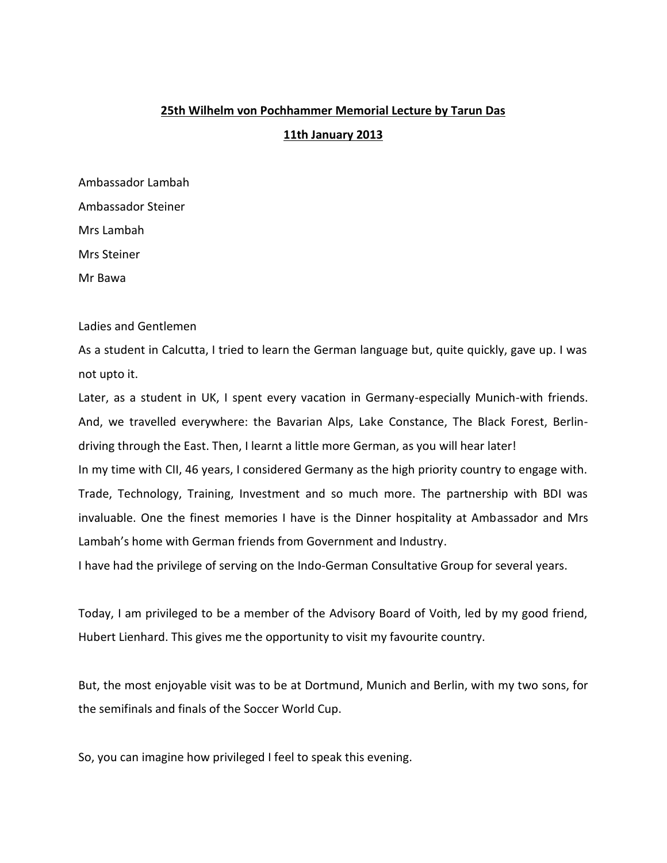## **25th Wilhelm von Pochhammer Memorial Lecture by Tarun Das**

## **11th January 2013**

Ambassador Lambah Ambassador Steiner Mrs Lambah Mrs Steiner Mr Bawa

Ladies and Gentlemen

As a student in Calcutta, I tried to learn the German language but, quite quickly, gave up. I was not upto it.

Later, as a student in UK, I spent every vacation in Germany-especially Munich-with friends. And, we travelled everywhere: the Bavarian Alps, Lake Constance, The Black Forest, Berlin driving through the East. Then, I learnt a little more German, as you will hear later! In my time with CII, 46 years, I considered Germany as the high priority country to engage with. Trade, Technology, Training, Investment and so much more. The partnership with BDI was invaluable. One the finest memories I have is the Dinner hospitality at Ambassador and Mrs Lambah's home with German friends from Government and Industry.

I have had the privilege of serving on the Indo-German Consultative Group for several years.

Today, I am privileged to be a member of the Advisory Board of Voith, led by my good friend, Hubert Lienhard. This gives me the opportunity to visit my favourite country.

But, the most enjoyable visit was to be at Dortmund, Munich and Berlin, with my two sons, for the semifinals and finals of the Soccer World Cup.

So, you can imagine how privileged I feel to speak this evening.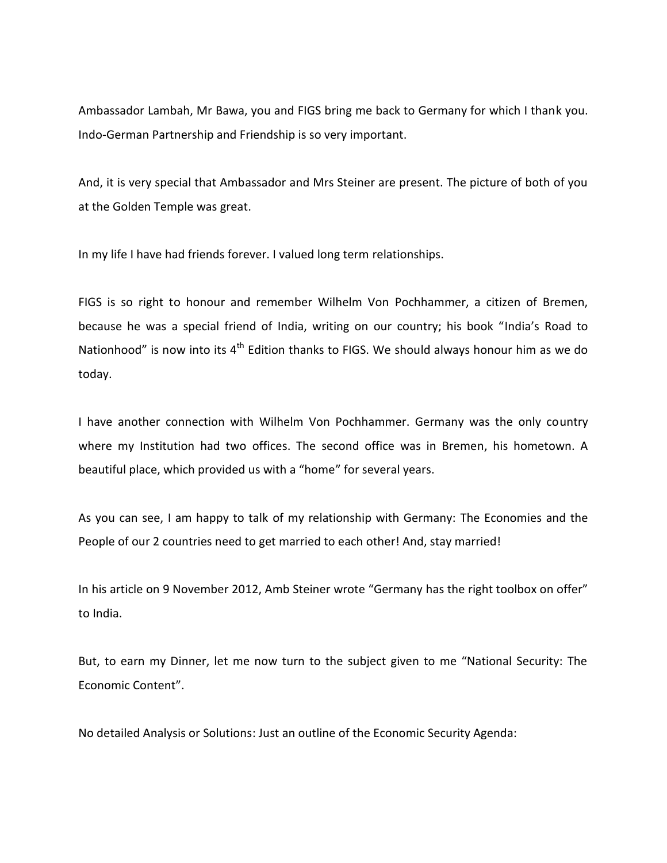Ambassador Lambah, Mr Bawa, you and FIGS bring me back to Germany for which I thank you. Indo-German Partnership and Friendship is so very important.

And, it is very special that Ambassador and Mrs Steiner are present. The picture of both of you at the Golden Temple was great.

In my life I have had friends forever. I valued long term relationships.

FIGS is so right to honour and remember Wilhelm Von Pochhammer, a citizen of Bremen, because he was a special friend of India, writing on our country; his book "India's Road to Nationhood" is now into its  $4<sup>th</sup>$  Edition thanks to FIGS. We should always honour him as we do today.

I have another connection with Wilhelm Von Pochhammer. Germany was the only country where my Institution had two offices. The second office was in Bremen, his hometown. A beautiful place, which provided us with a "home" for several years.

As you can see, I am happy to talk of my relationship with Germany: The Economies and the People of our 2 countries need to get married to each other! And, stay married!

In his article on 9 November 2012, Amb Steiner wrote "Germany has the right toolbox on offer" to India.

But, to earn my Dinner, let me now turn to the subject given to me "National Security: The Economic Content".

No detailed Analysis or Solutions: Just an outline of the Economic Security Agenda: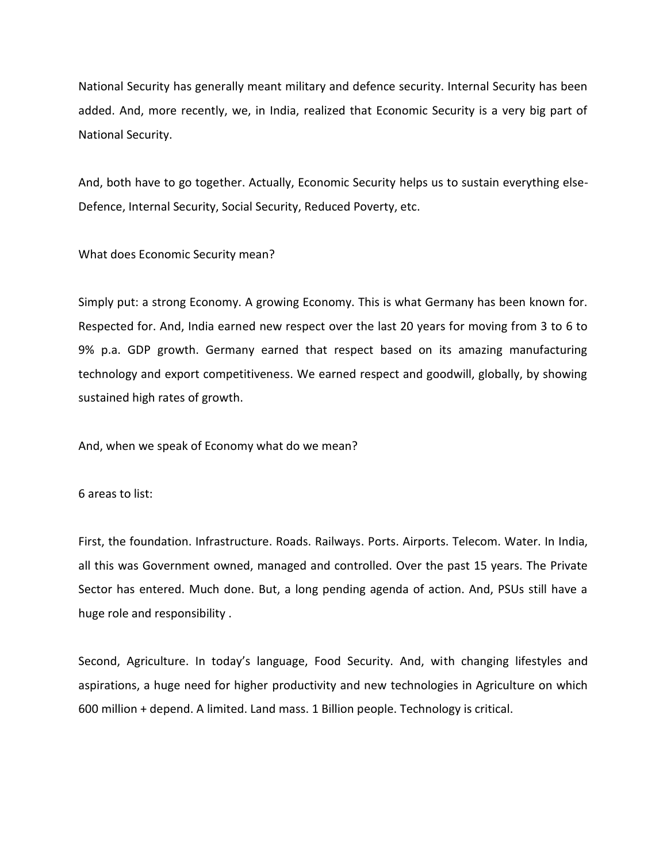National Security has generally meant military and defence security. Internal Security has been added. And, more recently, we, in India, realized that Economic Security is a very big part of National Security.

And, both have to go together. Actually, Economic Security helps us to sustain everything else- Defence, Internal Security, Social Security, Reduced Poverty, etc.

What does Economic Security mean?

Simply put: a strong Economy. A growing Economy. This is what Germany has been known for. Respected for. And, India earned new respect over the last 20 years for moving from 3 to 6 to 9% p.a. GDP growth. Germany earned that respect based on its amazing manufacturing technology and export competitiveness. We earned respect and goodwill, globally, by showing sustained high rates of growth.

And, when we speak of Economy what do we mean?

6 areas to list:

First, the foundation. Infrastructure. Roads. Railways. Ports. Airports. Telecom. Water. In India, all this was Government owned, managed and controlled. Over the past 15 years. The Private Sector has entered. Much done. But, a long pending agenda of action. And, PSUs still have a huge role and responsibility .

Second, Agriculture. In today's language, Food Security. And, with changing lifestyles and aspirations, a huge need for higher productivity and new technologies in Agriculture on which 600 million + depend. A limited. Land mass. 1 Billion people. Technology is critical.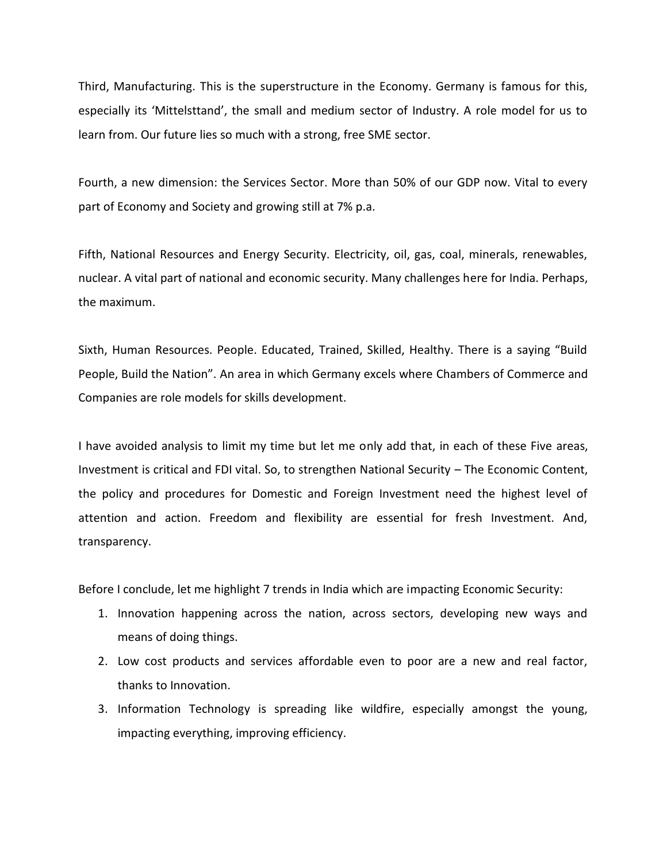Third, Manufacturing. This is the superstructure in the Economy. Germany is famous for this, especially its 'Mittelsttand', the small and medium sector of Industry. A role model for us to learn from. Our future lies so much with a strong, free SME sector.

Fourth, a new dimension: the Services Sector. More than 50% of our GDP now. Vital to every part of Economy and Society and growing still at 7% p.a.

Fifth, National Resources and Energy Security. Electricity, oil, gas, coal, minerals, renewables, nuclear. A vital part of national and economic security. Many challenges here for India. Perhaps, the maximum.

Sixth, Human Resources. People. Educated, Trained, Skilled, Healthy. There is a saying "Build People, Build the Nation". An area in which Germany excels where Chambers of Commerce and Companies are role models for skills development.

I have avoided analysis to limit my time but let me only add that, in each of these Five areas, Investment is critical and FDI vital. So, to strengthen National Security – The Economic Content, the policy and procedures for Domestic and Foreign Investment need the highest level of attention and action. Freedom and flexibility are essential for fresh Investment. And, transparency.

Before I conclude, let me highlight 7 trends in India which are impacting Economic Security:

- 1. Innovation happening across the nation, across sectors, developing new ways and means of doing things.
- 2. Low cost products and services affordable even to poor are a new and real factor, thanks to Innovation.
- 3. Information Technology is spreading like wildfire, especially amongst the young, impacting everything, improving efficiency.